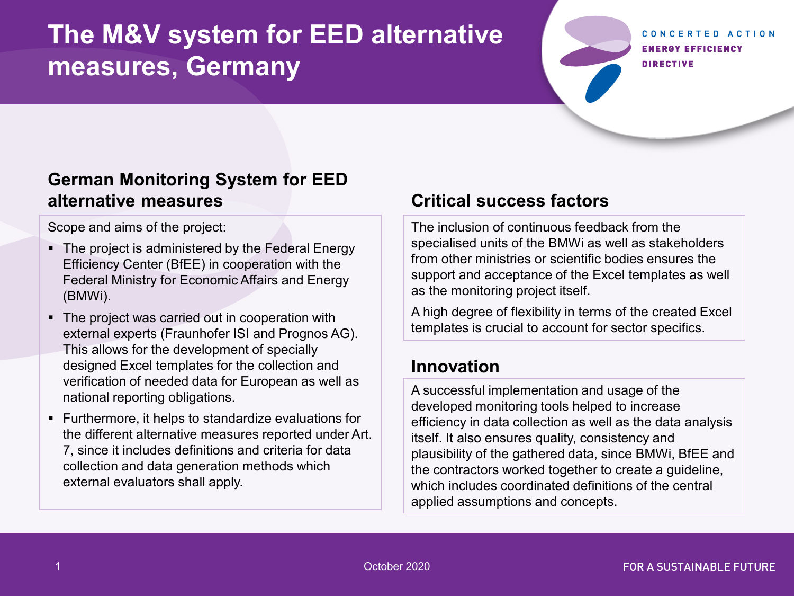## **The M&V system for EED alternative measures, Germany**

#### CONCERTED ACTION **ENERGY EFFICIENCY DIRECTIVE**

## **German Monitoring System for EED alternative measures**

Scope and aims of the project:

- The project is administered by the Federal Energy Efficiency Center (BfEE) in cooperation with the Federal Ministry for Economic Affairs and Energy (BMWi).
- The project was carried out in cooperation with external experts (Fraunhofer ISI and Prognos AG). This allows for the development of specially designed Excel templates for the collection and verification of needed data for European as well as national reporting obligations.
- Furthermore, it helps to standardize evaluations for the different alternative measures reported under Art. 7, since it includes definitions and criteria for data collection and data generation methods which external evaluators shall apply.

### **Critical success factors**

The inclusion of continuous feedback from the specialised units of the BMWi as well as stakeholders from other ministries or scientific bodies ensures the support and acceptance of the Excel templates as well as the monitoring project itself.

A high degree of flexibility in terms of the created Excel templates is crucial to account for sector specifics.

### **Innovation**

A successful implementation and usage of the developed monitoring tools helped to increase efficiency in data collection as well as the data analysis itself. It also ensures quality, consistency and plausibility of the gathered data, since BMWi, BfEE and the contractors worked together to create a guideline, which includes coordinated definitions of the central applied assumptions and concepts.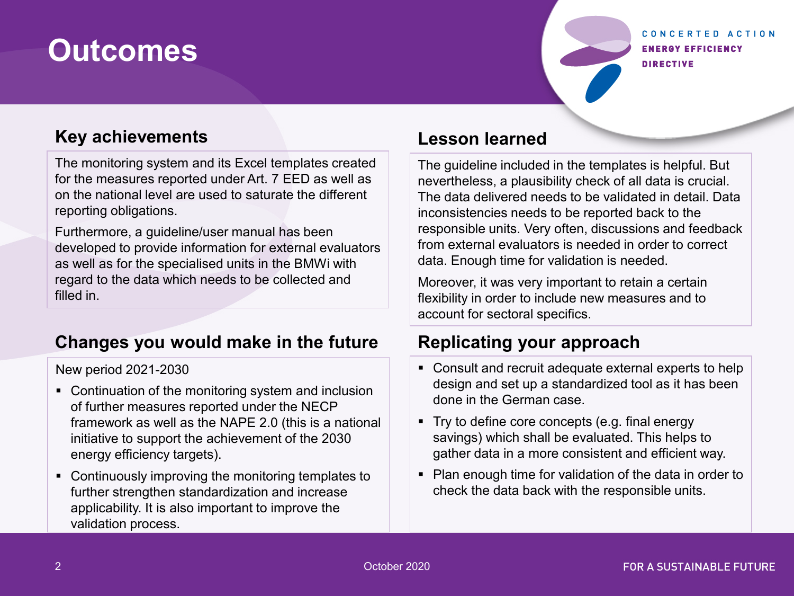## **Outcomes**

#### CONCERTED ACTION **ENERGY EFFICIENCY DIRECTIVE**

#### **Key achievements**

The monitoring system and its Excel templates created for the measures reported under Art. 7 EED as well as on the national level are used to saturate the different reporting obligations.

Furthermore, a guideline/user manual has been developed to provide information for external evaluators as well as for the specialised units in the BMWi with regard to the data which needs to be collected and filled in.

#### **Changes you would make in the future**

New period 2021-2030

- Continuation of the monitoring system and inclusion of further measures reported under the NECP framework as well as the NAPE 2.0 (this is a national initiative to support the achievement of the 2030 energy efficiency targets).
- Continuously improving the monitoring templates to further strengthen standardization and increase applicability. It is also important to improve the validation process.

#### **Lesson learned**

The guideline included in the templates is helpful. But nevertheless, a plausibility check of all data is crucial. The data delivered needs to be validated in detail. Data inconsistencies needs to be reported back to the responsible units. Very often, discussions and feedback from external evaluators is needed in order to correct data. Enough time for validation is needed.

Moreover, it was very important to retain a certain flexibility in order to include new measures and to account for sectoral specifics.

### **Replicating your approach**

- Consult and recruit adequate external experts to help design and set up a standardized tool as it has been done in the German case.
- Try to define core concepts (e.g. final energy savings) which shall be evaluated. This helps to gather data in a more consistent and efficient way.
- Plan enough time for validation of the data in order to check the data back with the responsible units.